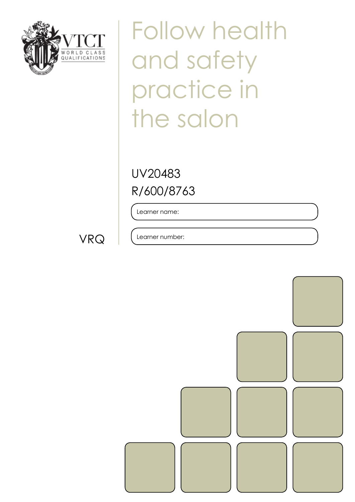

Follow health and safety practice in the salon

R/600/8763 UV20483

Learner name:

VRQ

Learner number: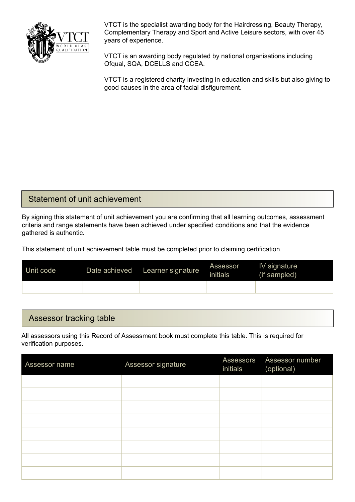

VTCT is the specialist awarding body for the Hairdressing, Beauty Therapy, Complementary Therapy and Sport and Active Leisure sectors, with over 45 years of experience.

VTCT is an awarding body regulated by national organisations including Ofqual, SQA, DCELLS and CCEA.

VTCT is a registered charity investing in education and skills but also giving to good causes in the area of facial disfigurement.

#### Statement of unit achievement

By signing this statement of unit achievement you are confirming that all learning outcomes, assessment criteria and range statements have been achieved under specified conditions and that the evidence gathered is authentic.

This statement of unit achievement table must be completed prior to claiming certification.

| Unit code | Date achieved | Learner signature | Assessor<br><i>initials</i> | IV signature<br>(if sampled) |
|-----------|---------------|-------------------|-----------------------------|------------------------------|
|           |               |                   |                             |                              |

#### Assessor tracking table

All assessors using this Record of Assessment book must complete this table. This is required for verification purposes.

| Assessor name | Assessor signature | initials | Assessors Assessor number<br>(optional) |
|---------------|--------------------|----------|-----------------------------------------|
|               |                    |          |                                         |
|               |                    |          |                                         |
|               |                    |          |                                         |
|               |                    |          |                                         |
|               |                    |          |                                         |
|               |                    |          |                                         |
|               |                    |          |                                         |
|               |                    |          |                                         |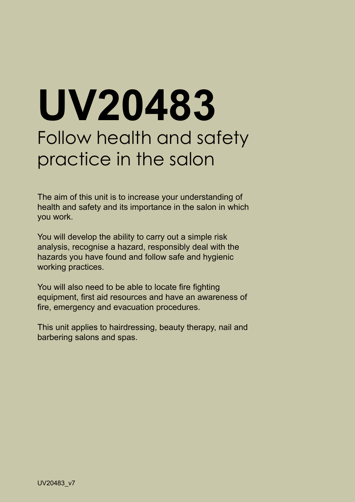# **UV20483** Follow health and safety practice in the salon

The aim of this unit is to increase your understanding of health and safety and its importance in the salon in which you work.

You will develop the ability to carry out a simple risk analysis, recognise a hazard, responsibly deal with the hazards you have found and follow safe and hygienic working practices.

You will also need to be able to locate fire fighting equipment, first aid resources and have an awareness of fire, emergency and evacuation procedures.

This unit applies to hairdressing, beauty therapy, nail and barbering salons and spas.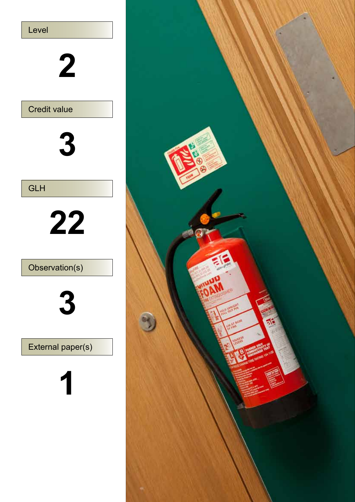

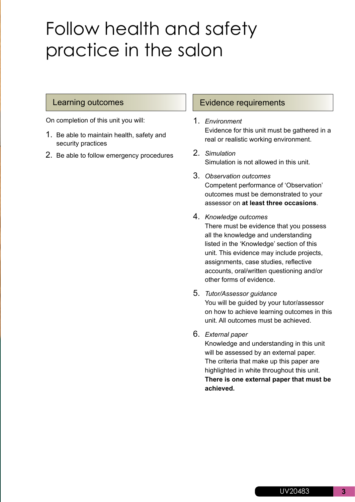## Follow health and safety practice in the salon

On completion of this unit you will:

- 1. Be able to maintain health, safety and security practices
- 2. Be able to follow emergency procedures

#### Learning outcomes **Evidence requirements**

- 1. *Environment*  Evidence for this unit must be gathered in a real or realistic working environment.
- 2. *Simulation*  Simulation is not allowed in this unit.
- 3. *Observation outcomes*  Competent performance of 'Observation' outcomes must be demonstrated to your assessor on **at least three occasions**.
- 4. *Knowledge outcomes*  There must be evidence that you possess all the knowledge and understanding listed in the 'Knowledge' section of this unit. This evidence may include projects, assignments, case studies, reflective accounts, oral/written questioning and/or other forms of evidence.
- 5. *Tutor/Assessor guidance*  You will be guided by your tutor/assessor on how to achieve learning outcomes in this unit. All outcomes must be achieved.

#### 6. *External paper*

Knowledge and understanding in this unit will be assessed by an external paper. The criteria that make up this paper are highlighted in white throughout this unit. **There is one external paper that must be achieved.**

**3**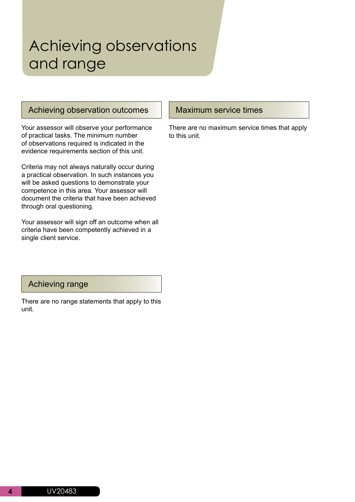### Achieving observations and range

#### Achieving observation outcomes

Your assessor will observe your performance of practical tasks. The minimum number of observations required is indicated in the evidence requirements section of this unit.

Criteria may not always naturally occur during a practical observation. In such instances you will be asked questions to demonstrate your competence in this area. Your assessor will document the criteria that have been achieved through oral questioning.

Your assessor will sign off an outcome when all criteria have been competently achieved in a single client service.

#### Achieving range

There are no range statements that apply to this unit.

#### Maximum service times

There are no maximum service times that apply to this unit.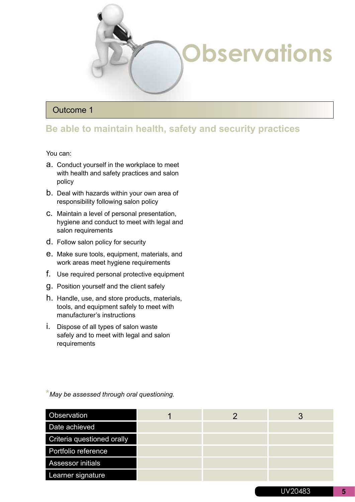

#### Outcome 1

#### **Be able to maintain health, safety and security practices**

You can:

- a. Conduct yourself in the workplace to meet with health and safety practices and salon policy
- b. Deal with hazards within your own area of responsibility following salon policy
- c. Maintain a level of personal presentation, hygiene and conduct to meet with legal and salon requirements
- d. Follow salon policy for security
- e. Make sure tools, equipment, materials, and work areas meet hygiene requirements
- f. Use required personal protective equipment
- g. Position yourself and the client safely
- h. Handle, use, and store products, materials, tools, and equipment safely to meet with manufacturer's instructions
- i. Dispose of all types of salon waste safely and to meet with legal and salon requirements

**\****May be assessed through oral questioning.*

| Observation                |  | 3 |
|----------------------------|--|---|
| Date achieved              |  |   |
| Criteria questioned orally |  |   |
| Portfolio reference        |  |   |
| <b>Assessor initials</b>   |  |   |
| Learner signature          |  |   |
|                            |  |   |

UV20483 **5**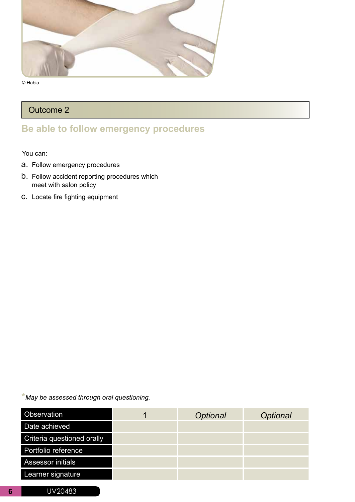

#### Outcome 2

#### **Be able to follow emergency procedures**

You can:

- a. Follow emergency procedures
- b. Follow accident reporting procedures which meet with salon policy
- c. Locate fire fighting equipment

**\****May be assessed through oral questioning.*

| Observation                | Optional | Optional |
|----------------------------|----------|----------|
| Date achieved              |          |          |
| Criteria questioned orally |          |          |
| Portfolio reference        |          |          |
| <b>Assessor initials</b>   |          |          |
| Learner signature          |          |          |
|                            |          |          |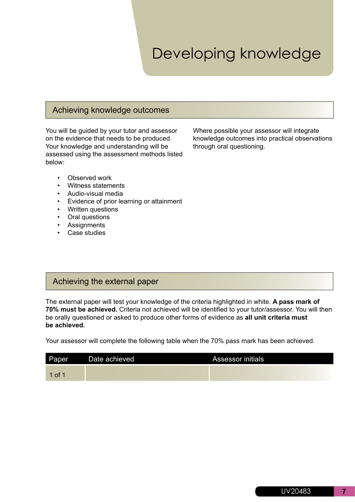### Developing knowledge

#### Achieving knowledge outcomes

You will be guided by your tutor and assessor on the evidence that needs to be produced. Your knowledge and understanding will be assessed using the assessment methods listed below:

Where possible your assessor will integrate knowledge outcomes into practical observations through oral questioning.

- Observed work
- Witness statements
- Audio-visual media
- Evidence of prior learning or attainment
- Written questions
- Oral questions
- Assignments
- Case studies

#### Achieving the external paper

The external paper will test your knowledge of the criteria highlighted in white. **A pass mark of 70% must be achieved.** Criteria not achieved will be identified to your tutor/assessor. You will then be orally questioned or asked to produce other forms of evidence as **all unit criteria must be achieved.** 

Your assessor will complete the following table when the 70% pass mark has been achieved.

| Paper    | Date achieved | <b>Assessor initials</b> |
|----------|---------------|--------------------------|
| $1$ of 1 |               |                          |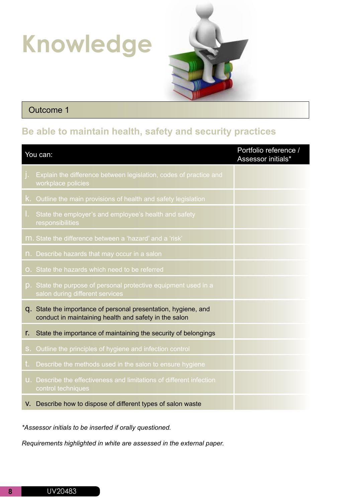## **Knowledge**



#### Outcome 1

#### **Be able to maintain health, safety and security practices**

|            | You can:                                                                                                                | Portfolio reference /<br>Assessor initials* |
|------------|-------------------------------------------------------------------------------------------------------------------------|---------------------------------------------|
| j.         | Explain the difference between legislation, codes of practice and<br>workplace policies                                 |                                             |
|            | K. Outline the main provisions of health and safety legislation                                                         |                                             |
| L.         | State the employer's and employee's health and safety<br>responsibilities                                               |                                             |
|            | m. State the difference between a 'hazard' and a 'risk'                                                                 |                                             |
|            | n. Describe hazards that may occur in a salon                                                                           |                                             |
|            | O. State the hazards which need to be referred                                                                          |                                             |
|            | p. State the purpose of personal protective equipment used in a<br>salon during different services                      |                                             |
|            | q. State the importance of personal presentation, hygiene, and<br>conduct in maintaining health and safety in the salon |                                             |
| r.         | State the importance of maintaining the security of belongings                                                          |                                             |
| $S_{\tau}$ | Outline the principles of hygiene and infection control                                                                 |                                             |
| t.         | Describe the methods used in the salon to ensure hygiene                                                                |                                             |
|            | U. Describe the effectiveness and limitations of different infection<br>control techniques                              |                                             |
|            | V. Describe how to dispose of different types of salon waste                                                            |                                             |

*\*Assessor initials to be inserted if orally questioned.*

*Requirements highlighted in white are assessed in the external paper.*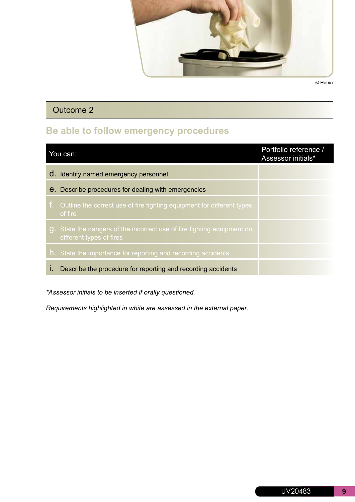

#### Outcome 2

### **Be able to follow emergency procedures**

| You can: |                                                                                                  | Portfolio reference /<br>Assessor initials* |
|----------|--------------------------------------------------------------------------------------------------|---------------------------------------------|
|          | d. Identify named emergency personnel                                                            |                                             |
|          | <b>e.</b> Describe procedures for dealing with emergencies                                       |                                             |
| t.,      | Outline the correct use of fire fighting equipment for different types<br>of fire                |                                             |
| g.       | State the dangers of the incorrect use of fire fighting equipment on<br>different types of fires |                                             |
|          | h. State the importance for reporting and recording accidents                                    |                                             |
|          | Describe the procedure for reporting and recording accidents                                     |                                             |

*\*Assessor initials to be inserted if orally questioned.*

*Requirements highlighted in white are assessed in the external paper.*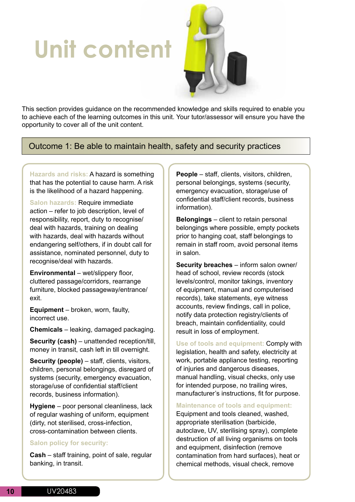## **Unit content**



This section provides guidance on the recommended knowledge and skills required to enable you to achieve each of the learning outcomes in this unit. Your tutor/assessor will ensure you have the opportunity to cover all of the unit content.

Outcome 1: Be able to maintain health, safety and security practices

**Hazards and risks:** A hazard is something that has the potential to cause harm. A risk is the likelihood of a hazard happening.

**Salon hazards:** Require immediate action – refer to job description, level of responsibility, report, duty to recognise/ deal with hazards, training on dealing with hazards, deal with hazards without endangering self/others, if in doubt call for assistance, nominated personnel, duty to recognise/deal with hazards.

**Environmental** – wet/slippery floor, cluttered passage/corridors, rearrange furniture, blocked passageway/entrance/ exit.

**Equipment** – broken, worn, faulty, incorrect use.

**Chemicals** – leaking, damaged packaging.

**Security (cash)** – unattended reception/till, money in transit, cash left in till overnight.

**Security (people)** – staff, clients, visitors, children, personal belongings, disregard of systems (security, emergency evacuation, storage/use of confidential staff/client records, business information).

**Hygiene** – poor personal cleanliness, lack of regular washing of uniform, equipment (dirty, not sterilised, cross-infection, cross-contamination between clients.

#### **Salon policy for security:**

**Cash** – staff training, point of sale, regular banking, in transit.

**People** – staff, clients, visitors, children, personal belongings, systems (security, emergency evacuation, storage/use of confidential staff/client records, business information).

**Belongings** – client to retain personal belongings where possible, empty pockets prior to hanging coat, staff belongings to remain in staff room, avoid personal items in salon.

**Security breaches** – inform salon owner/ head of school, review records (stock levels/control, monitor takings, inventory of equipment, manual and computerised records), take statements, eye witness accounts, review findings, call in police, notify data protection registry/clients of breach, maintain confidentiality, could result in loss of employment.

**Use of tools and equipment:** Comply with legislation, health and safety, electricity at work, portable appliance testing, reporting of injuries and dangerous diseases, manual handling, visual checks, only use for intended purpose, no trailing wires, manufacturer's instructions, fit for purpose.

**Maintenance of tools and equipment:**

Equipment and tools cleaned, washed, appropriate sterilisation (barbicide, autoclave, UV, sterilising spray), complete destruction of all living organisms on tools and equipment, disinfection (remove contamination from hard surfaces), heat or chemical methods, visual check, remove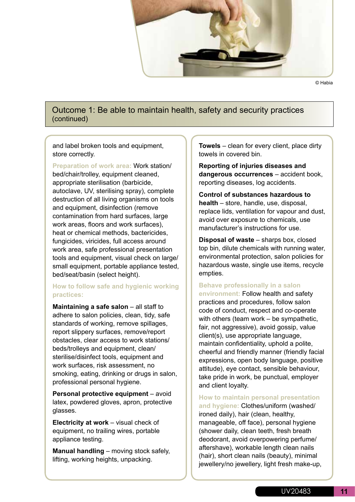

Outcome 1: Be able to maintain health, safety and security practices (continued)

and label broken tools and equipment, store correctly.

**Preparation of work area:** Work station/ bed/chair/trolley, equipment cleaned, appropriate sterilisation (barbicide, autoclave, UV, sterilising spray), complete destruction of all living organisms on tools and equipment, disinfection (remove contamination from hard surfaces, large work areas, floors and work surfaces), heat or chemical methods, bactericides, fungicides, viricides, full access around work area, safe professional presentation tools and equipment, visual check on large/ small equipment, portable appliance tested, bed/seat/basin (select height).

#### **How to follow safe and hygienic working practices:**

**Maintaining a safe salon** – all staff to adhere to salon policies, clean, tidy, safe standards of working, remove spillages, report slippery surfaces, remove/report obstacles, clear access to work stations/ beds/trolleys and equipment, clean/ sterilise/disinfect tools, equipment and work surfaces, risk assessment, no smoking, eating, drinking or drugs in salon, professional personal hygiene.

**Personal protective equipment** – avoid latex, powdered gloves, apron, protective glasses.

**Electricity at work** – visual check of equipment, no trailing wires, portable appliance testing.

**Manual handling** – moving stock safely, lifting, working heights, unpacking.

**Towels** – clean for every client, place dirty towels in covered bin.

**Reporting of injuries diseases and dangerous occurrences** – accident book, reporting diseases, log accidents.

**Control of substances hazardous to health** – store, handle, use, disposal, replace lids, ventilation for vapour and dust, avoid over exposure to chemicals, use manufacturer's instructions for use.

**Disposal of waste** – sharps box, closed top bin, dilute chemicals with running water, environmental protection, salon policies for hazardous waste, single use items, recycle empties.

#### **Behave professionally in a salon**

**environment:** Follow health and safety practices and procedures, follow salon code of conduct, respect and co-operate with others (team work – be sympathetic, fair, not aggressive), avoid gossip, value client(s), use appropriate language, maintain confidentiality, uphold a polite, cheerful and friendly manner (friendly facial expressions, open body language, positive attitude), eye contact, sensible behaviour, take pride in work, be punctual, employer and client loyalty.

**How to maintain personal presentation** 

**and hygiene:** Clothes/uniform (washed/ ironed daily), hair (clean, healthy, manageable, off face), personal hygiene (shower daily, clean teeth, fresh breath deodorant, avoid overpowering perfume/ aftershave), workable length clean nails (hair), short clean nails (beauty), minimal jewellery/no jewellery, light fresh make-up,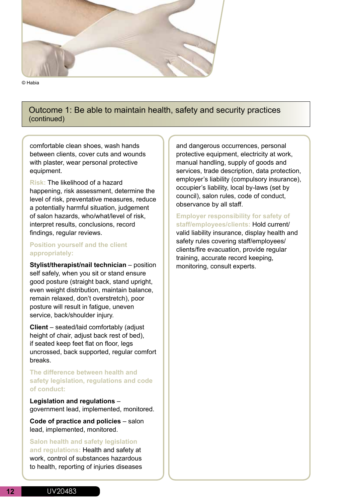

#### Outcome 1: Be able to maintain health, safety and security practices (continued)

comfortable clean shoes, wash hands between clients, cover cuts and wounds with plaster, wear personal protective equipment.

**Risk:** The likelihood of a hazard happening, risk assessment, determine the level of risk, preventative measures, reduce a potentially harmful situation, judgement of salon hazards, who/what/level of risk, interpret results, conclusions, record findings, regular reviews.

#### **Position yourself and the client appropriately:**

**Stylist/therapist/nail technician** – position self safely, when you sit or stand ensure good posture (straight back, stand upright, even weight distribution, maintain balance, remain relaxed, don't overstretch), poor posture will result in fatigue, uneven service, back/shoulder injury.

**Client** – seated/laid comfortably (adjust height of chair, adjust back rest of bed), if seated keep feet flat on floor, legs uncrossed, back supported, regular comfort breaks.

**The difference between health and safety legislation, regulations and code of conduct:**

**Legislation and regulations** – government lead, implemented, monitored.

**Code of practice and policies** – salon lead, implemented, monitored.

**Salon health and safety legislation and regulations:** Health and safety at work, control of substances hazardous to health, reporting of injuries diseases and dangerous occurrences, personal protective equipment, electricity at work, manual handling, supply of goods and services, trade description, data protection, employer's liability (compulsory insurance), occupier's liability, local by-laws (set by council), salon rules, code of conduct, observance by all staff.

#### **Employer responsibility for safety of staff/employees/clients:** Hold current/

valid liability insurance, display health and safety rules covering staff/employees/ clients/fire evacuation, provide regular training, accurate record keeping, monitoring, consult experts.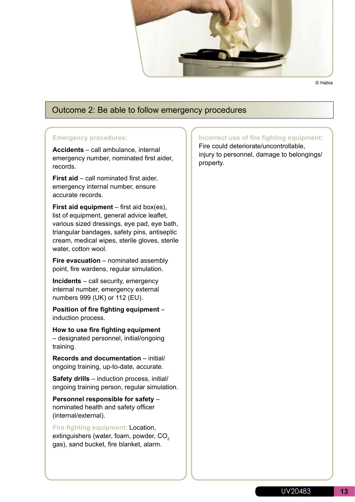

#### Outcome 2: Be able to follow emergency procedures

#### **Emergency procedures:**

**Accidents** – call ambulance, internal emergency number, nominated first aider, records.

**First aid** – call nominated first aider, emergency internal number, ensure accurate records.

**First aid equipment** – first aid box(es), list of equipment, general advice leaflet, various sized dressings, eye pad, eye bath, triangular bandages, safety pins, antiseptic cream, medical wipes, sterile gloves, sterile water, cotton wool.

**Fire evacuation** – nominated assembly point, fire wardens, regular simulation.

**Incidents** – call security, emergency internal number, emergency external numbers 999 (UK) or 112 (EU).

**Position of fire fighting equipment** – induction process.

**How to use fire fighting equipment** – designated personnel, initial/ongoing training.

**Records and documentation** – initial/ ongoing training, up-to-date, accurate.

**Safety drills** – induction process, initial/ ongoing training person, regular simulation.

**Personnel responsible for safety** – nominated health and safety officer (internal/external).

**Fire fighting equipment:** Location, extinguishers (water, foam, powder, CO<sub>2</sub> gas), sand bucket, fire blanket, alarm.

**Incorrect use of fire fighting equipment:** Fire could deteriorate/uncontrollable, injury to personnel, damage to belongings/ property.